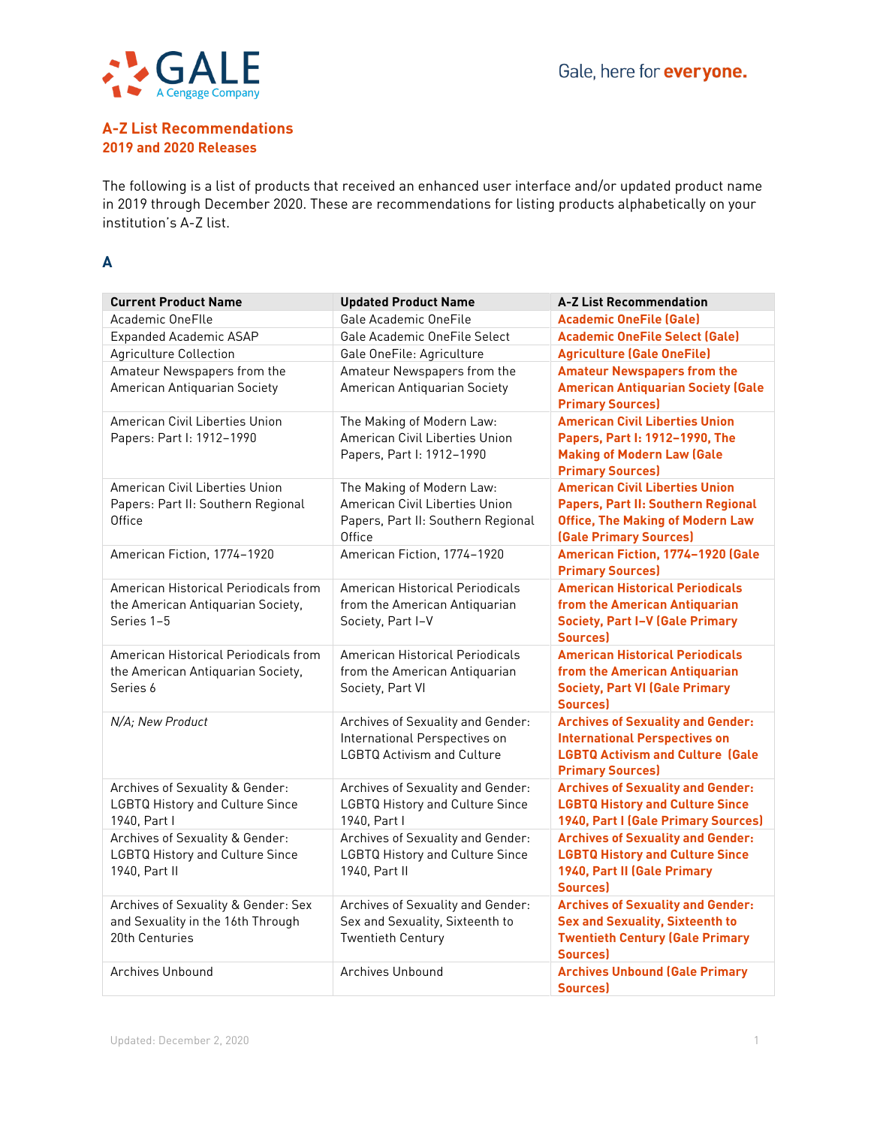

#### **A-Z List Recommendations 2019 and 2020 Releases**

The following is a list of products that received an enhanced user interface and/or updated product name in 2019 through December 2020. These are recommendations for listing products alphabetically on your institution's A-Z list.

## **A**

| <b>Current Product Name</b>                                                                | <b>Updated Product Name</b>                                                                                 | <b>A-Z List Recommendation</b>                                                                                                                         |
|--------------------------------------------------------------------------------------------|-------------------------------------------------------------------------------------------------------------|--------------------------------------------------------------------------------------------------------------------------------------------------------|
| Academic OneFlle                                                                           | Gale Academic OneFile                                                                                       | <b>Academic OneFile (Gale)</b>                                                                                                                         |
| <b>Expanded Academic ASAP</b>                                                              | Gale Academic OneFile Select                                                                                | <b>Academic OneFile Select (Gale)</b>                                                                                                                  |
| <b>Agriculture Collection</b>                                                              | Gale OneFile: Agriculture                                                                                   | <b>Agriculture (Gale OneFile)</b>                                                                                                                      |
| Amateur Newspapers from the<br>American Antiquarian Society                                | Amateur Newspapers from the<br>American Antiquarian Society                                                 | <b>Amateur Newspapers from the</b><br><b>American Antiquarian Society (Gale</b><br><b>Primary Sources)</b>                                             |
| American Civil Liberties Union<br>Papers: Part I: 1912-1990                                | The Making of Modern Law:<br>American Civil Liberties Union<br>Papers, Part I: 1912-1990                    | <b>American Civil Liberties Union</b><br>Papers, Part I: 1912-1990, The<br><b>Making of Modern Law (Gale</b><br><b>Primary Sources)</b>                |
| American Civil Liberties Union<br>Papers: Part II: Southern Regional<br>Office             | The Making of Modern Law:<br>American Civil Liberties Union<br>Papers, Part II: Southern Regional<br>Office | <b>American Civil Liberties Union</b><br>Papers, Part II: Southern Regional<br><b>Office, The Making of Modern Law</b><br>(Gale Primary Sources)       |
| American Fiction, 1774-1920                                                                | American Fiction, 1774-1920                                                                                 | American Fiction, 1774-1920 (Gale<br><b>Primary Sources)</b>                                                                                           |
| American Historical Periodicals from<br>the American Antiquarian Society,<br>Series 1-5    | American Historical Periodicals<br>from the American Antiquarian<br>Society, Part I-V                       | <b>American Historical Periodicals</b><br>from the American Antiquarian<br><b>Society, Part I-V (Gale Primary</b><br><b>Sources</b>                    |
| American Historical Periodicals from<br>the American Antiquarian Society,<br>Series 6      | American Historical Periodicals<br>from the American Antiquarian<br>Society, Part VI                        | <b>American Historical Periodicals</b><br>from the American Antiquarian<br><b>Society, Part VI (Gale Primary</b><br>Sources)                           |
| N/A: New Product                                                                           | Archives of Sexuality and Gender:<br>International Perspectives on<br><b>LGBTQ Activism and Culture</b>     | <b>Archives of Sexuality and Gender:</b><br><b>International Perspectives on</b><br><b>LGBTQ Activism and Culture (Gale</b><br><b>Primary Sources)</b> |
| Archives of Sexuality & Gender:<br><b>LGBTQ History and Culture Since</b><br>1940, Part I  | Archives of Sexuality and Gender:<br><b>LGBTQ History and Culture Since</b><br>1940, Part I                 | <b>Archives of Sexuality and Gender:</b><br><b>LGBTQ History and Culture Since</b><br>1940, Part I (Gale Primary Sources)                              |
| Archives of Sexuality & Gender:<br><b>LGBTQ History and Culture Since</b><br>1940, Part II | Archives of Sexuality and Gender:<br><b>LGBTQ History and Culture Since</b><br>1940, Part II                | <b>Archives of Sexuality and Gender:</b><br><b>LGBTQ History and Culture Since</b><br>1940, Part II (Gale Primary<br><b>Sources</b>                    |
| Archives of Sexuality & Gender: Sex<br>and Sexuality in the 16th Through<br>20th Centuries | Archives of Sexuality and Gender:<br>Sex and Sexuality, Sixteenth to<br><b>Twentieth Century</b>            | <b>Archives of Sexuality and Gender:</b><br><b>Sex and Sexuality, Sixteenth to</b><br><b>Twentieth Century (Gale Primary</b><br>Sources)               |
| Archives Unbound                                                                           | Archives Unbound                                                                                            | <b>Archives Unbound (Gale Primary</b><br><b>Sources</b> )                                                                                              |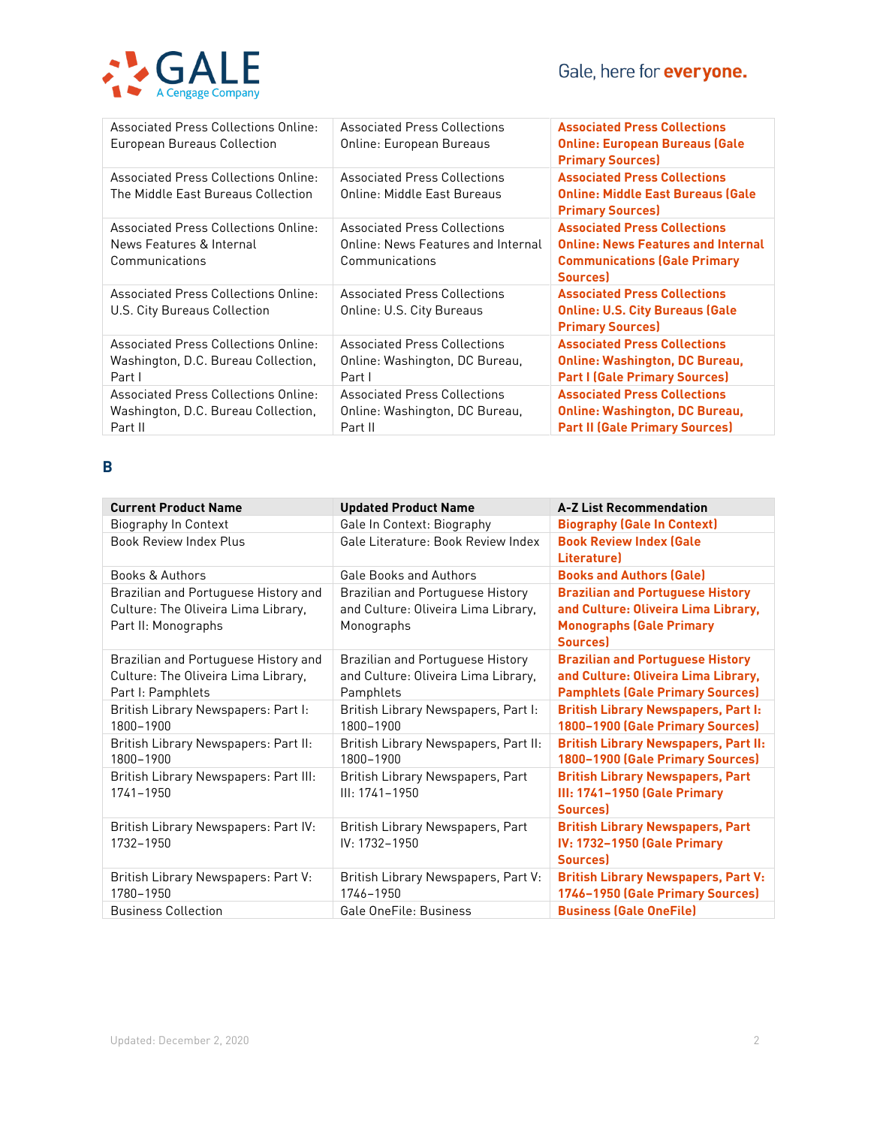

| <b>Associated Press Collections Online:</b><br>European Bureaus Collection                    | <b>Associated Press Collections</b><br>Online: European Bureaus                             | <b>Associated Press Collections</b><br><b>Online: European Bureaus (Gale</b><br><b>Primary Sources)</b>                                   |
|-----------------------------------------------------------------------------------------------|---------------------------------------------------------------------------------------------|-------------------------------------------------------------------------------------------------------------------------------------------|
| <b>Associated Press Collections Online:</b><br>The Middle East Bureaus Collection             | <b>Associated Press Collections</b><br>Online: Middle East Bureaus                          | <b>Associated Press Collections</b><br><b>Online: Middle East Bureaus (Gale</b><br><b>Primary Sources)</b>                                |
| <b>Associated Press Collections Online:</b><br>News Features & Internal<br>Communications     | <b>Associated Press Collections</b><br>Online: News Features and Internal<br>Communications | <b>Associated Press Collections</b><br><b>Online: News Features and Internal</b><br><b>Communications (Gale Primary</b><br><b>Sources</b> |
| <b>Associated Press Collections Online:</b><br>U.S. City Bureaus Collection                   | <b>Associated Press Collections</b><br>Online: U.S. City Bureaus                            | <b>Associated Press Collections</b><br><b>Online: U.S. City Bureaus (Gale</b><br><b>Primary Sources)</b>                                  |
| <b>Associated Press Collections Online:</b><br>Washington, D.C. Bureau Collection,<br>Part I  | <b>Associated Press Collections</b><br>Online: Washington, DC Bureau,<br>Part I             | <b>Associated Press Collections</b><br><b>Online: Washington, DC Bureau,</b><br><b>Part I (Gale Primary Sources)</b>                      |
| <b>Associated Press Collections Online:</b><br>Washington, D.C. Bureau Collection,<br>Part II | <b>Associated Press Collections</b><br>Online: Washington, DC Bureau,<br>Part II            | <b>Associated Press Collections</b><br><b>Online: Washington, DC Bureau,</b><br><b>Part II (Gale Primary Sources)</b>                     |

## **B**

| <b>Current Product Name</b>                                                                        | <b>Updated Product Name</b>                                                                  | <b>A-Z List Recommendation</b>                                                                                                      |
|----------------------------------------------------------------------------------------------------|----------------------------------------------------------------------------------------------|-------------------------------------------------------------------------------------------------------------------------------------|
| Biography In Context                                                                               | Gale In Context: Biography                                                                   | <b>Biography (Gale In Context)</b>                                                                                                  |
| <b>Book Review Index Plus</b>                                                                      | Gale Literature: Book Review Index                                                           | <b>Book Review Index (Gale</b><br><b>Literaturel</b>                                                                                |
| <b>Books &amp; Authors</b>                                                                         | <b>Gale Books and Authors</b>                                                                | <b>Books and Authors (Gale)</b>                                                                                                     |
| Brazilian and Portuguese History and<br>Culture: The Oliveira Lima Library,<br>Part II: Monographs | <b>Brazilian and Portuguese History</b><br>and Culture: Oliveira Lima Library,<br>Monographs | <b>Brazilian and Portuguese History</b><br>and Culture: Oliveira Lima Library,<br><b>Monographs (Gale Primary</b><br><b>Sources</b> |
| Brazilian and Portuguese History and<br>Culture: The Oliveira Lima Library,<br>Part I: Pamphlets   | Brazilian and Portuguese History<br>and Culture: Oliveira Lima Library,<br>Pamphlets         | <b>Brazilian and Portuguese History</b><br>and Culture: Oliveira Lima Library,<br><b>Pamphlets (Gale Primary Sources)</b>           |
| British Library Newspapers: Part I:<br>1800-1900                                                   | British Library Newspapers, Part I:<br>1800-1900                                             | <b>British Library Newspapers, Part I:</b><br>1800-1900 (Gale Primary Sources)                                                      |
| British Library Newspapers: Part II:<br>1800-1900                                                  | British Library Newspapers, Part II:<br>1800-1900                                            | <b>British Library Newspapers, Part II:</b><br>1800-1900 (Gale Primary Sources)                                                     |
| British Library Newspapers: Part III:<br>1741-1950                                                 | British Library Newspapers, Part<br>III: 1741-1950                                           | <b>British Library Newspapers, Part</b><br>III: 1741-1950 (Gale Primary<br><b>Sources</b>                                           |
| British Library Newspapers: Part IV:<br>1732-1950                                                  | British Library Newspapers, Part<br>IV: 1732-1950                                            | <b>British Library Newspapers, Part</b><br>IV: 1732-1950 (Gale Primary<br><b>Sources</b>                                            |
| British Library Newspapers: Part V:<br>1780-1950                                                   | British Library Newspapers, Part V:<br>1746-1950                                             | <b>British Library Newspapers, Part V:</b><br>1746-1950 (Gale Primary Sources)                                                      |
| <b>Business Collection</b>                                                                         | Gale OneFile: Business                                                                       | <b>Business (Gale OneFile)</b>                                                                                                      |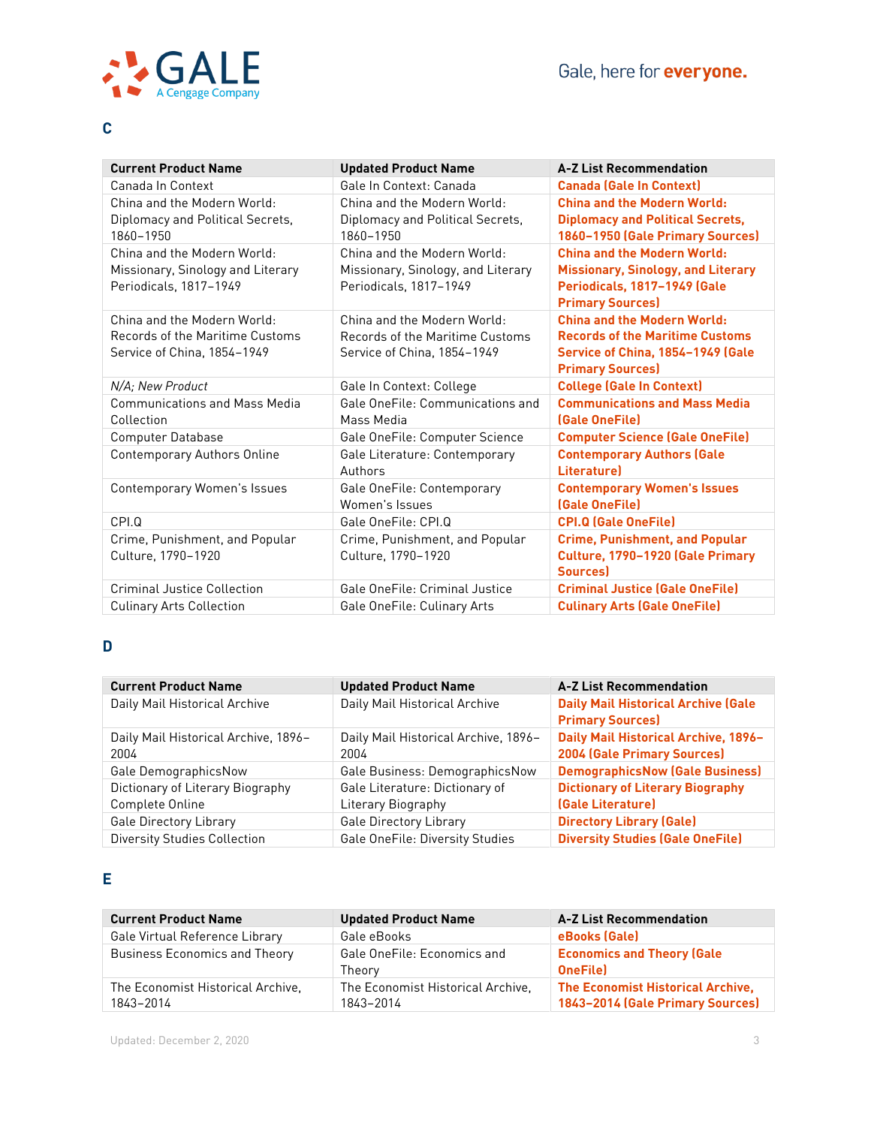

# **C**

| <b>Current Product Name</b>                                                                   | <b>Updated Product Name</b>                                                                   | <b>A-Z List Recommendation</b>                                                                                                               |
|-----------------------------------------------------------------------------------------------|-----------------------------------------------------------------------------------------------|----------------------------------------------------------------------------------------------------------------------------------------------|
| Canada In Context                                                                             | Gale In Context: Canada                                                                       | <b>Canada (Gale In Context)</b>                                                                                                              |
| China and the Modern World:                                                                   | China and the Modern World:                                                                   | <b>China and the Modern World:</b>                                                                                                           |
| Diplomacy and Political Secrets,<br>1860-1950                                                 | Diplomacy and Political Secrets,<br>1860-1950                                                 | <b>Diplomacy and Political Secrets,</b><br>1860-1950 (Gale Primary Sources)                                                                  |
| China and the Modern World:<br>Missionary, Sinology and Literary<br>Periodicals, 1817-1949    | China and the Modern World:<br>Missionary, Sinology, and Literary<br>Periodicals, 1817-1949   | <b>China and the Modern World:</b><br><b>Missionary, Sinology, and Literary</b><br>Periodicals, 1817-1949 (Gale<br><b>Primary Sources)</b>   |
| China and the Modern World:<br>Records of the Maritime Customs<br>Service of China, 1854-1949 | China and the Modern World:<br>Records of the Maritime Customs<br>Service of China, 1854-1949 | <b>China and the Modern World:</b><br><b>Records of the Maritime Customs</b><br>Service of China, 1854-1949 (Gale<br><b>Primary Sources)</b> |
| N/A; New Product                                                                              | Gale In Context: College                                                                      | <b>College (Gale In Context)</b>                                                                                                             |
| <b>Communications and Mass Media</b><br>Collection                                            | Gale OneFile: Communications and<br>Mass Media                                                | <b>Communications and Mass Media</b><br>(Gale OneFile)                                                                                       |
| <b>Computer Database</b>                                                                      | Gale OneFile: Computer Science                                                                | <b>Computer Science (Gale OneFile)</b>                                                                                                       |
| <b>Contemporary Authors Online</b>                                                            | Gale Literature: Contemporary<br>Authors                                                      | <b>Contemporary Authors (Gale</b><br><b>Literaturel</b>                                                                                      |
| <b>Contemporary Women's Issues</b>                                                            | Gale OneFile: Contemporary<br>Women's Issues                                                  | <b>Contemporary Women's Issues</b><br>(Gale OneFile)                                                                                         |
| CPI.Q                                                                                         | Gale OneFile: CPI.Q                                                                           | <b>CPI.Q (Gale OneFile)</b>                                                                                                                  |
| Crime, Punishment, and Popular<br>Culture, 1790-1920                                          | Crime, Punishment, and Popular<br>Culture, 1790-1920                                          | <b>Crime, Punishment, and Popular</b><br>Culture, 1790-1920 (Gale Primary<br>Sources)                                                        |
| Criminal Justice Collection                                                                   | Gale OneFile: Criminal Justice                                                                | <b>Criminal Justice (Gale OneFile)</b>                                                                                                       |
| <b>Culinary Arts Collection</b>                                                               | Gale OneFile: Culinary Arts                                                                   | <b>Culinary Arts (Gale OneFile)</b>                                                                                                          |

# **D**

| <b>Current Product Name</b>                  | <b>Updated Product Name</b>                  | <b>A-Z List Recommendation</b>                                        |
|----------------------------------------------|----------------------------------------------|-----------------------------------------------------------------------|
| Daily Mail Historical Archive                | Daily Mail Historical Archive                | <b>Daily Mail Historical Archive (Gale</b><br><b>Primary Sources)</b> |
| Daily Mail Historical Archive, 1896-<br>2004 | Daily Mail Historical Archive, 1896-<br>2004 | Daily Mail Historical Archive, 1896-<br>2004 (Gale Primary Sources)   |
| Gale DemographicsNow                         | Gale Business: DemographicsNow               | <b>DemographicsNow (Gale Business)</b>                                |
| Dictionary of Literary Biography             | Gale Literature: Dictionary of               | <b>Dictionary of Literary Biography</b>                               |
| Complete Online                              | Literary Biography                           | (Gale Literature)                                                     |
| <b>Gale Directory Library</b>                | <b>Gale Directory Library</b>                | <b>Directory Library (Gale)</b>                                       |
| <b>Diversity Studies Collection</b>          | <b>Gale OneFile: Diversity Studies</b>       | <b>Diversity Studies (Gale OneFile)</b>                               |

# **E**

| <b>Current Product Name</b>                    | <b>Updated Product Name</b>                    | <b>A-Z List Recommendation</b>                                               |
|------------------------------------------------|------------------------------------------------|------------------------------------------------------------------------------|
| Gale Virtual Reference Library                 | Gale eBooks                                    | eBooks (Gale)                                                                |
| <b>Business Economics and Theory</b>           | Gale OneFile: Economics and<br>Theorv          | <b>Economics and Theory (Gale</b><br><b>OneFile</b>                          |
| The Economist Historical Archive.<br>1843-2014 | The Economist Historical Archive.<br>1843-2014 | <b>The Economist Historical Archive,</b><br>1843-2014 (Gale Primary Sources) |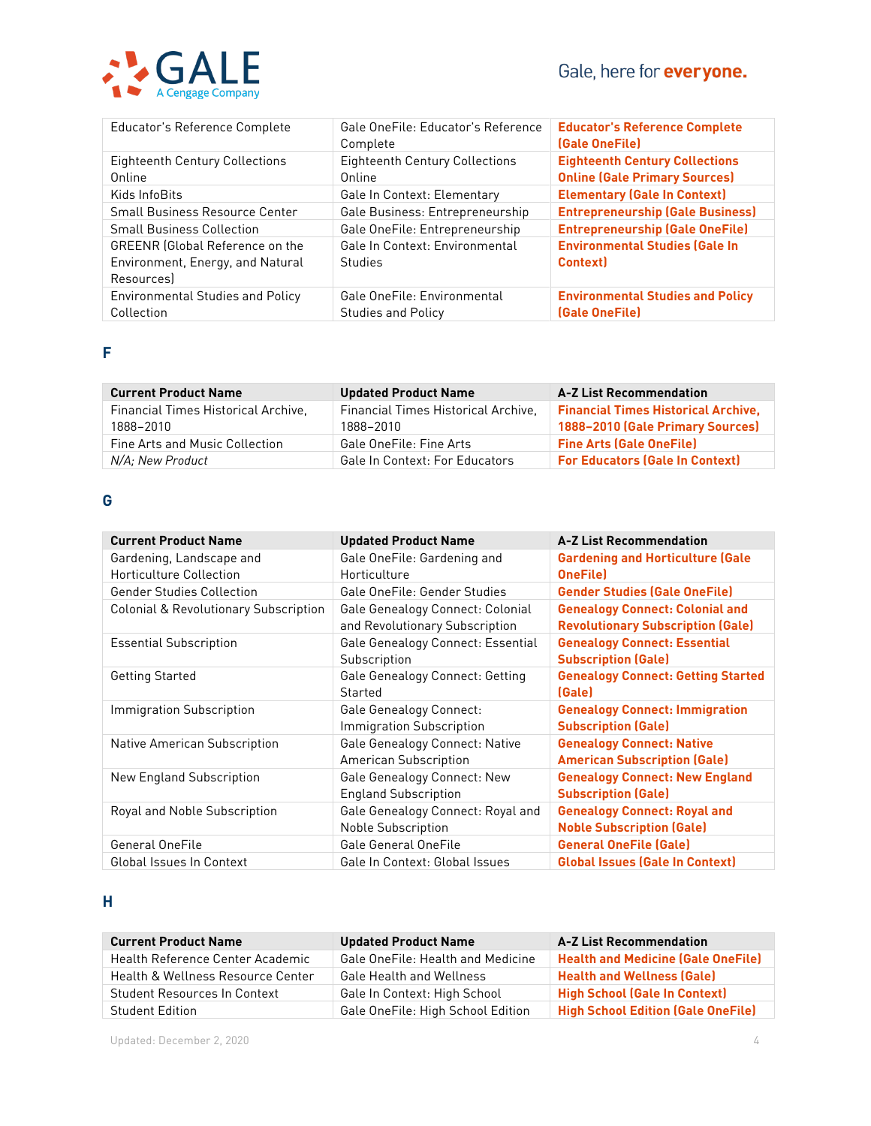

| Educator's Reference Complete                                                           | Gale OneFile: Educator's Reference<br>Complete           | <b>Educator's Reference Complete</b><br>(Gale OneFile)                        |
|-----------------------------------------------------------------------------------------|----------------------------------------------------------|-------------------------------------------------------------------------------|
| <b>Eighteenth Century Collections</b><br>Online                                         | <b>Eighteenth Century Collections</b><br>Online          | <b>Eighteenth Century Collections</b><br><b>Online (Gale Primary Sources)</b> |
| Kids InfoBits                                                                           | Gale In Context: Elementary                              | <b>Elementary (Gale In Context)</b>                                           |
| <b>Small Business Resource Center</b>                                                   | Gale Business: Entrepreneurship                          | <b>Entrepreneurship (Gale Business)</b>                                       |
| <b>Small Business Collection</b>                                                        | Gale OneFile: Entrepreneurship                           | <b>Entrepreneurship (Gale OneFile)</b>                                        |
| <b>GREENR</b> (Global Reference on the<br>Environment, Energy, and Natural<br>Resources | Gale In Context: Environmental<br>Studies                | <b>Environmental Studies (Gale In</b><br><b>Context</b>                       |
| <b>Environmental Studies and Policy</b><br>Collection                                   | Gale OneFile: Environmental<br><b>Studies and Policy</b> | <b>Environmental Studies and Policy</b><br>(Gale OneFile)                     |

## **F**

| <b>Current Product Name</b>                      | <b>Updated Product Name</b>                      | <b>A-Z List Recommendation</b>                                                 |
|--------------------------------------------------|--------------------------------------------------|--------------------------------------------------------------------------------|
| Financial Times Historical Archive.<br>1888-2010 | Financial Times Historical Archive.<br>1888-2010 | <b>Financial Times Historical Archive,</b><br>1888-2010 (Gale Primary Sources) |
| <b>Fine Arts and Music Collection</b>            | <b>Gale OneFile: Fine Arts</b>                   | <b>Fine Arts (Gale OneFile)</b>                                                |
| N/A; New Product                                 | <b>Gale In Context: For Educators</b>            | <b>For Educators (Gale In Context)</b>                                         |

## **G**

| <b>Current Product Name</b>                         | <b>Updated Product Name</b>                                        | <b>A-Z List Recommendation</b>                                                     |
|-----------------------------------------------------|--------------------------------------------------------------------|------------------------------------------------------------------------------------|
| Gardening, Landscape and<br>Horticulture Collection | Gale OneFile: Gardening and<br>Horticulture                        | <b>Gardening and Horticulture (Gale</b><br><b>OneFile</b>                          |
| <b>Gender Studies Collection</b>                    | Gale OneFile: Gender Studies                                       | <b>Gender Studies (Gale OneFile)</b>                                               |
| <b>Colonial &amp; Revolutionary Subscription</b>    | Gale Genealogy Connect: Colonial<br>and Revolutionary Subscription | <b>Genealogy Connect: Colonial and</b><br><b>Revolutionary Subscription (Gale)</b> |
| <b>Essential Subscription</b>                       | Gale Genealogy Connect: Essential<br>Subscription                  | <b>Genealogy Connect: Essential</b><br><b>Subscription (Gale)</b>                  |
| <b>Getting Started</b>                              | Gale Genealogy Connect: Getting<br>Started                         | <b>Genealogy Connect: Getting Started</b><br>(Gale)                                |
| Immigration Subscription                            | Gale Genealogy Connect:<br>Immigration Subscription                | <b>Genealogy Connect: Immigration</b><br><b>Subscription (Gale)</b>                |
| Native American Subscription                        | Gale Genealogy Connect: Native<br>American Subscription            | <b>Genealogy Connect: Native</b><br><b>American Subscription (Gale)</b>            |
| New England Subscription                            | Gale Genealogy Connect: New<br><b>England Subscription</b>         | <b>Genealogy Connect: New England</b><br><b>Subscription (Gale)</b>                |
| Royal and Noble Subscription                        | Gale Genealogy Connect: Royal and<br>Noble Subscription            | <b>Genealogy Connect: Royal and</b><br><b>Noble Subscription (Gale)</b>            |
| General OneFile                                     | Gale General OneFile                                               | <b>General OneFile (Gale)</b>                                                      |
| Global Issues In Context                            | Gale In Context: Global Issues                                     | <b>Global Issues (Gale In Context)</b>                                             |

#### **H**

| <b>Current Product Name</b>                  | <b>Updated Product Name</b>       | <b>A-Z List Recommendation</b>            |
|----------------------------------------------|-----------------------------------|-------------------------------------------|
| Health Reference Center Academic             | Gale OneFile: Health and Medicine | <b>Health and Medicine (Gale OneFile)</b> |
| <b>Health &amp; Wellness Resource Center</b> | <b>Gale Health and Wellness</b>   | <b>Health and Wellness (Gale)</b>         |
| <b>Student Resources In Context</b>          | Gale In Context: High School      | <b>High School (Gale In Context)</b>      |
| <b>Student Edition</b>                       | Gale OneFile: High School Edition | <b>High School Edition (Gale OneFile)</b> |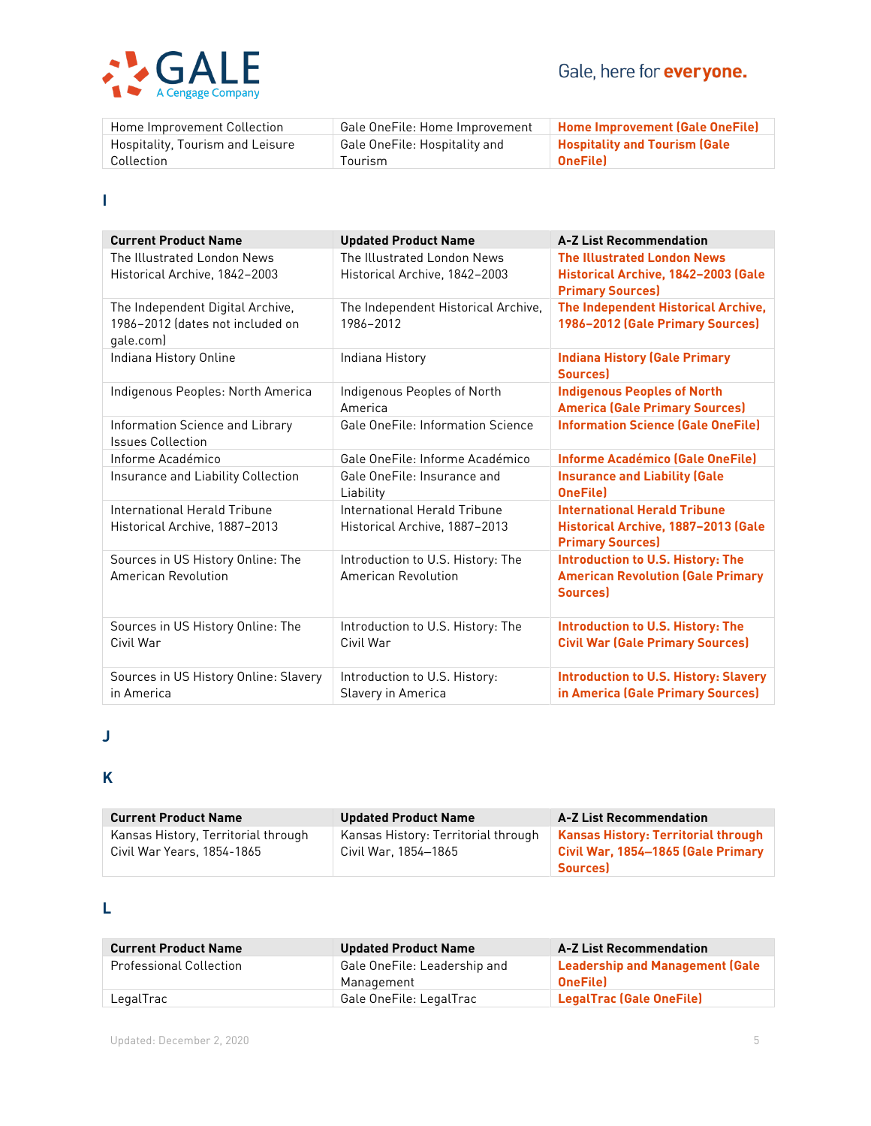

| Home Improvement Collection      | Gale OneFile: Home Improvement | <b>Home Improvement (Gale OneFile)</b> |
|----------------------------------|--------------------------------|----------------------------------------|
| Hospitality, Tourism and Leisure | Gale OneFile: Hospitality and  | <b>Hospitality and Tourism (Gale</b>   |
| Collection                       | Tourism                        | <b>OneFile</b>                         |

## **I**

| <b>Current Product Name</b>                                                       | <b>Updated Product Name</b>                                   | <b>A-Z List Recommendation</b>                                                                         |
|-----------------------------------------------------------------------------------|---------------------------------------------------------------|--------------------------------------------------------------------------------------------------------|
| The Illustrated London News<br>Historical Archive, 1842–2003                      | The Illustrated London News<br>Historical Archive, 1842-2003  | <b>The Illustrated London News</b><br>Historical Archive, 1842-2003 (Gale<br><b>Primary Sources)</b>   |
| The Independent Digital Archive,<br>1986-2012 (dates not included on<br>gale.com) | The Independent Historical Archive,<br>1986-2012              | The Independent Historical Archive,<br>1986-2012 (Gale Primary Sources)                                |
| Indiana History Online                                                            | Indiana History                                               | <b>Indiana History (Gale Primary</b><br><b>Sources</b> )                                               |
| Indigenous Peoples: North America                                                 | Indigenous Peoples of North<br>America                        | <b>Indigenous Peoples of North</b><br><b>America (Gale Primary Sources)</b>                            |
| Information Science and Library<br><b>Issues Collection</b>                       | <b>Gale OneFile: Information Science</b>                      | <b>Information Science (Gale OneFile)</b>                                                              |
| Informe Académico                                                                 | Gale OneFile: Informe Académico                               | Informe Académico (Gale OneFile)                                                                       |
| Insurance and Liability Collection                                                | Gale OneFile: Insurance and<br>Liability                      | <b>Insurance and Liability (Gale</b><br><b>OneFilel</b>                                                |
| International Herald Tribune<br>Historical Archive, 1887-2013                     | International Herald Tribune<br>Historical Archive, 1887-2013 | <b>International Herald Tribune</b><br>Historical Archive, 1887-2013 (Gale<br><b>Primary Sources)</b>  |
| Sources in US History Online: The<br>American Revolution                          | Introduction to U.S. History: The<br>American Revolution      | <b>Introduction to U.S. History: The</b><br><b>American Revolution (Gale Primary</b><br><b>Sources</b> |
| Sources in US History Online: The<br>Civil War                                    | Introduction to U.S. History: The<br>Civil War                | <b>Introduction to U.S. History: The</b><br><b>Civil War (Gale Primary Sources)</b>                    |
| Sources in US History Online: Slavery<br>in America                               | Introduction to U.S. History:<br>Slavery in America           | <b>Introduction to U.S. History: Slavery</b><br>in America (Gale Primary Sources)                      |

## **J**

## **K**

| <b>Current Product Name</b>                                       | <b>Updated Product Name</b>                                 | <b>A-Z List Recommendation</b>                                                   |
|-------------------------------------------------------------------|-------------------------------------------------------------|----------------------------------------------------------------------------------|
| Kansas History, Territorial through<br>Civil War Years, 1854-1865 | Kansas History: Territorial through<br>Civil War. 1854–1865 | <b>Kansas History: Territorial through</b><br>Civil War, 1854-1865 (Gale Primary |
|                                                                   |                                                             | <b>Sources</b>                                                                   |

## **L**

| <b>Current Product Name</b>    | <b>Updated Product Name</b>                | <b>A-Z List Recommendation</b>                     |
|--------------------------------|--------------------------------------------|----------------------------------------------------|
| <b>Professional Collection</b> | Gale OneFile: Leadership and<br>Management | Leadership and Management (Gale<br><b>OneFilel</b> |
| LegalTrac                      | Gale OneFile: LegalTrac                    | LegalTrac (Gale OneFile)                           |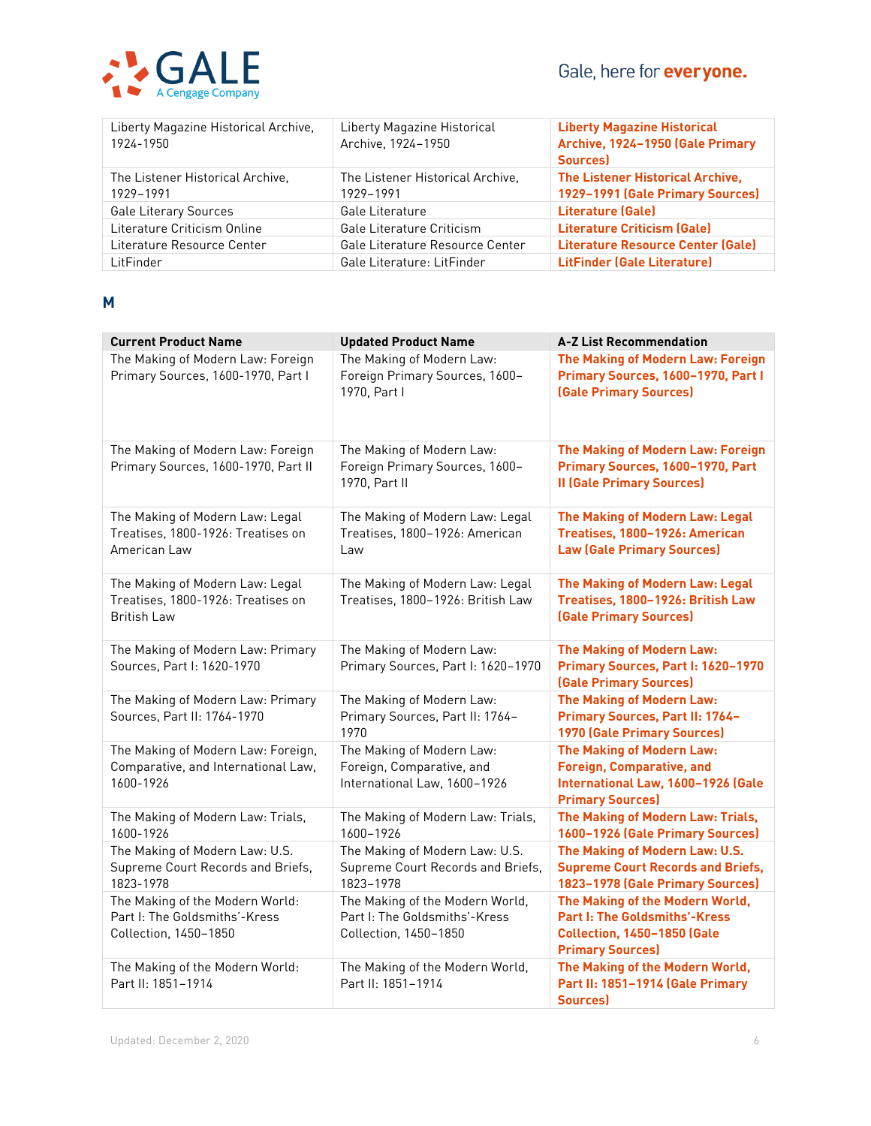# Gale, here for **everyone.**



| Liberty Magazine Historical Archive,<br>1924-1950 | Liberty Magazine Historical<br>Archive, 1924-1950 | <b>Liberty Magazine Historical</b><br>Archive, 1924-1950 (Gale Primary<br>Sources) |
|---------------------------------------------------|---------------------------------------------------|------------------------------------------------------------------------------------|
| The Listener Historical Archive.<br>1929-1991     | The Listener Historical Archive.<br>1929-1991     | The Listener Historical Archive,<br>1929-1991 (Gale Primary Sources)               |
| <b>Gale Literary Sources</b>                      | Gale Literature                                   | Literature (Gale)                                                                  |
| Literature Criticism Online                       | Gale Literature Criticism                         | <b>Literature Criticism (Gale)</b>                                                 |
| Literature Resource Center                        | Gale Literature Resource Center                   | Literature Resource Center (Gale)                                                  |
| LitFinder                                         | Gale Literature: LitFinder                        | <b>LitFinder (Gale Literature)</b>                                                 |

#### **M**

| <b>Current Product Name</b>                                                                 | <b>Updated Product Name</b>                                                               | <b>A-Z List Recommendation</b>                                                                                                        |
|---------------------------------------------------------------------------------------------|-------------------------------------------------------------------------------------------|---------------------------------------------------------------------------------------------------------------------------------------|
| The Making of Modern Law: Foreign<br>Primary Sources, 1600-1970, Part I                     | The Making of Modern Law:<br>Foreign Primary Sources, 1600-<br>1970, Part I               | The Making of Modern Law: Foreign<br>Primary Sources, 1600-1970, Part I<br>(Gale Primary Sources)                                     |
| The Making of Modern Law: Foreign<br>Primary Sources, 1600-1970, Part II                    | The Making of Modern Law:<br>Foreign Primary Sources, 1600-<br>1970, Part II              | The Making of Modern Law: Foreign<br>Primary Sources, 1600-1970, Part<br><b>II (Gale Primary Sources)</b>                             |
| The Making of Modern Law: Legal<br>Treatises, 1800-1926: Treatises on<br>American Law       | The Making of Modern Law: Legal<br>Treatises, 1800-1926: American<br>Law                  | The Making of Modern Law: Legal<br>Treatises, 1800-1926: American<br><b>Law (Gale Primary Sources)</b>                                |
| The Making of Modern Law: Legal<br>Treatises, 1800-1926: Treatises on<br><b>British Law</b> | The Making of Modern Law: Legal<br>Treatises, 1800-1926: British Law                      | The Making of Modern Law: Legal<br>Treatises, 1800-1926: British Law<br>(Gale Primary Sources)                                        |
| The Making of Modern Law: Primary<br>Sources, Part I: 1620-1970                             | The Making of Modern Law:<br>Primary Sources, Part I: 1620-1970                           | The Making of Modern Law:<br>Primary Sources, Part I: 1620-1970<br>(Gale Primary Sources)                                             |
| The Making of Modern Law: Primary<br>Sources, Part II: 1764-1970                            | The Making of Modern Law:<br>Primary Sources, Part II: 1764-<br>1970                      | <b>The Making of Modern Law:</b><br>Primary Sources, Part II: 1764-<br>1970 (Gale Primary Sources)                                    |
| The Making of Modern Law: Foreign,<br>Comparative, and International Law,<br>1600-1926      | The Making of Modern Law:<br>Foreign, Comparative, and<br>International Law, 1600-1926    | <b>The Making of Modern Law:</b><br><b>Foreign, Comparative, and</b><br>International Law, 1600-1926 (Gale<br><b>Primary Sources)</b> |
| The Making of Modern Law: Trials,<br>1600-1926                                              | The Making of Modern Law: Trials,<br>1600-1926                                            | The Making of Modern Law: Trials,<br>1600-1926 (Gale Primary Sources)                                                                 |
| The Making of Modern Law: U.S.<br>Supreme Court Records and Briefs,<br>1823-1978            | The Making of Modern Law: U.S.<br>Supreme Court Records and Briefs,<br>1823-1978          | The Making of Modern Law: U.S.<br><b>Supreme Court Records and Briefs,</b><br>1823-1978 (Gale Primary Sources)                        |
| The Making of the Modern World:<br>Part I: The Goldsmiths'-Kress<br>Collection, 1450-1850   | The Making of the Modern World,<br>Part I: The Goldsmiths'-Kress<br>Collection, 1450-1850 | The Making of the Modern World,<br>Part I: The Goldsmiths'-Kress<br><b>Collection, 1450-1850 (Gale</b><br><b>Primary Sources)</b>     |
| The Making of the Modern World:<br>Part II: 1851-1914                                       | The Making of the Modern World,<br>Part II: 1851-1914                                     | The Making of the Modern World,<br>Part II: 1851-1914 (Gale Primary<br>Sources)                                                       |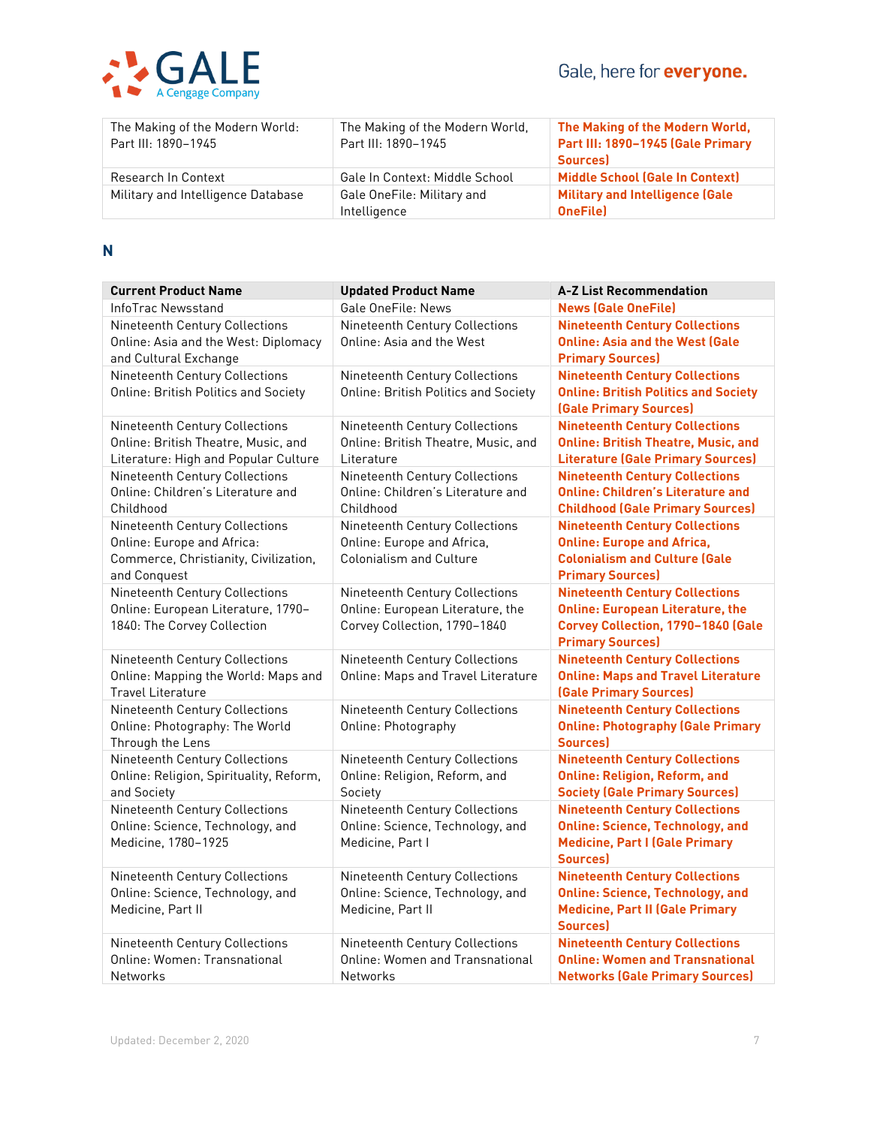

| The Making of the Modern World:    | The Making of the Modern World, | The Making of the Modern World,        |
|------------------------------------|---------------------------------|----------------------------------------|
| Part III: 1890-1945                | Part III: 1890-1945             | Part III: 1890-1945 (Gale Primary      |
|                                    |                                 | <b>Sources</b>                         |
| Research In Context                | Gale In Context: Middle School  | <b>Middle School (Gale In Context)</b> |
| Military and Intelligence Database | Gale OneFile: Military and      | <b>Military and Intelligence (Gale</b> |
|                                    | Intelligence                    | <b>OneFilel</b>                        |

**N**

| <b>Current Product Name</b>                                                                                           | <b>Updated Product Name</b>                                                                        | <b>A-Z List Recommendation</b>                                                                                                                    |
|-----------------------------------------------------------------------------------------------------------------------|----------------------------------------------------------------------------------------------------|---------------------------------------------------------------------------------------------------------------------------------------------------|
| InfoTrac Newsstand                                                                                                    | Gale OneFile: News                                                                                 | <b>News (Gale OneFile)</b>                                                                                                                        |
| Nineteenth Century Collections<br>Online: Asia and the West: Diplomacy<br>and Cultural Exchange                       | Nineteenth Century Collections<br>Online: Asia and the West                                        | <b>Nineteenth Century Collections</b><br><b>Online: Asia and the West (Gale</b><br><b>Primary Sources)</b>                                        |
| Nineteenth Century Collections<br><b>Online: British Politics and Society</b>                                         | Nineteenth Century Collections<br><b>Online: British Politics and Society</b>                      | <b>Nineteenth Century Collections</b><br><b>Online: British Politics and Society</b><br>(Gale Primary Sources)                                    |
| Nineteenth Century Collections<br>Online: British Theatre, Music, and<br>Literature: High and Popular Culture         | Nineteenth Century Collections<br>Online: British Theatre, Music, and<br>Literature                | <b>Nineteenth Century Collections</b><br><b>Online: British Theatre, Music, and</b><br><b>Literature (Gale Primary Sources)</b>                   |
| Nineteenth Century Collections<br>Online: Children's Literature and<br>Childhood                                      | Nineteenth Century Collections<br>Online: Children's Literature and<br>Childhood                   | <b>Nineteenth Century Collections</b><br><b>Online: Children's Literature and</b><br><b>Childhood (Gale Primary Sources)</b>                      |
| Nineteenth Century Collections<br>Online: Europe and Africa:<br>Commerce, Christianity, Civilization,<br>and Conquest | Nineteenth Century Collections<br>Online: Europe and Africa,<br><b>Colonialism and Culture</b>     | <b>Nineteenth Century Collections</b><br><b>Online: Europe and Africa,</b><br><b>Colonialism and Culture (Gale</b><br><b>Primary Sources)</b>     |
| Nineteenth Century Collections<br>Online: European Literature, 1790-<br>1840: The Corvey Collection                   | Nineteenth Century Collections<br>Online: European Literature, the<br>Corvey Collection, 1790-1840 | <b>Nineteenth Century Collections</b><br><b>Online: European Literature, the</b><br>Corvey Collection, 1790-1840 (Gale<br><b>Primary Sources)</b> |
| Nineteenth Century Collections<br>Online: Mapping the World: Maps and<br><b>Travel Literature</b>                     | Nineteenth Century Collections<br>Online: Maps and Travel Literature                               | <b>Nineteenth Century Collections</b><br><b>Online: Maps and Travel Literature</b><br><b>(Gale Primary Sources)</b>                               |
| Nineteenth Century Collections<br>Online: Photography: The World<br>Through the Lens                                  | Nineteenth Century Collections<br>Online: Photography                                              | <b>Nineteenth Century Collections</b><br><b>Online: Photography (Gale Primary</b><br><b>Sources</b> )                                             |
| Nineteenth Century Collections<br>Online: Religion, Spirituality, Reform,<br>and Society                              | Nineteenth Century Collections<br>Online: Religion, Reform, and<br>Society                         | <b>Nineteenth Century Collections</b><br><b>Online: Religion, Reform, and</b><br><b>Society (Gale Primary Sources)</b>                            |
| Nineteenth Century Collections<br>Online: Science, Technology, and<br>Medicine, 1780-1925                             | Nineteenth Century Collections<br>Online: Science, Technology, and<br>Medicine, Part I             | <b>Nineteenth Century Collections</b><br><b>Online: Science, Technology, and</b><br><b>Medicine, Part I (Gale Primary</b><br><b>Sources</b>       |
| Nineteenth Century Collections<br>Online: Science, Technology, and<br>Medicine, Part II                               | Nineteenth Century Collections<br>Online: Science, Technology, and<br>Medicine, Part II            | <b>Nineteenth Century Collections</b><br><b>Online: Science, Technology, and</b><br><b>Medicine, Part II (Gale Primary</b><br>Sources)            |
| Nineteenth Century Collections<br>Online: Women: Transnational<br>Networks                                            | Nineteenth Century Collections<br>Online: Women and Transnational<br><b>Networks</b>               | <b>Nineteenth Century Collections</b><br><b>Online: Women and Transnational</b><br><b>Networks (Gale Primary Sources)</b>                         |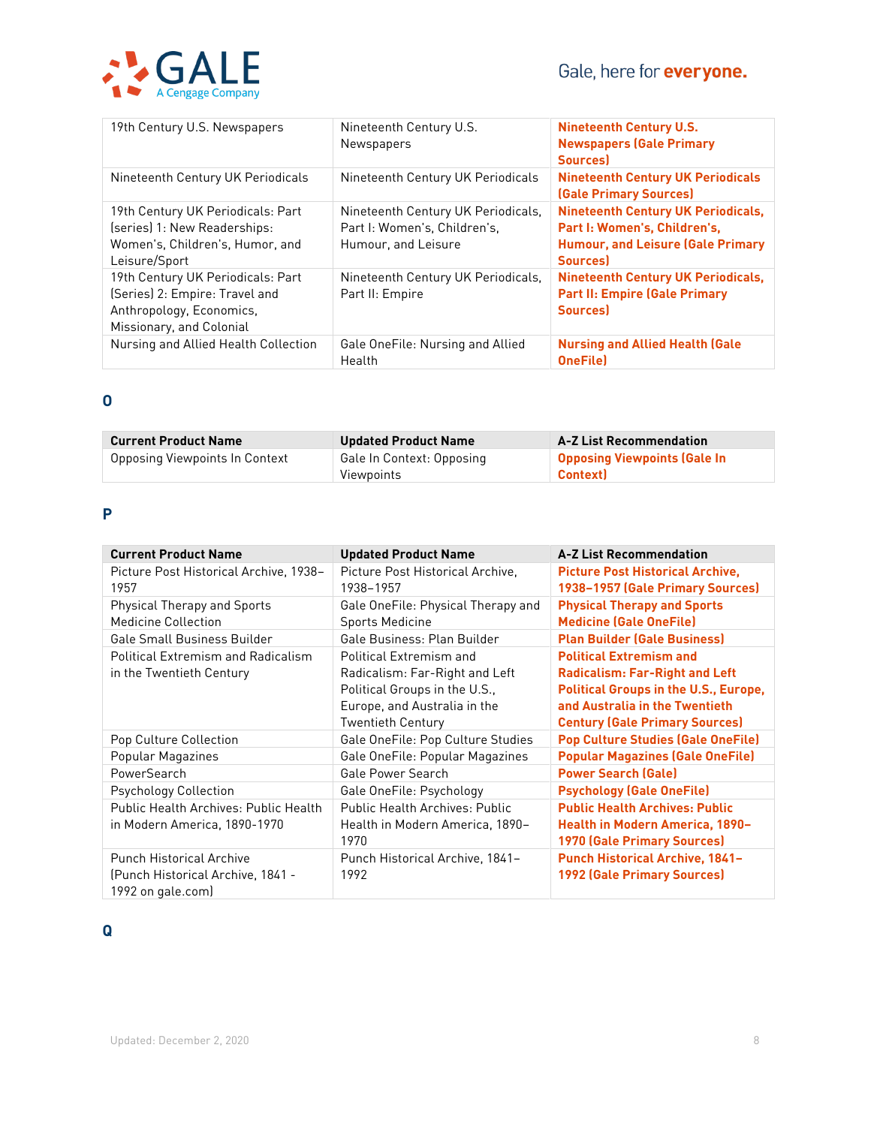# Gale, here for **everyone.**



| 19th Century U.S. Newspapers                                                                                                | Nineteenth Century U.S.<br>Newspapers                                                     | <b>Nineteenth Century U.S.</b><br><b>Newspapers (Gale Primary</b><br><b>Sources</b> )                                                   |
|-----------------------------------------------------------------------------------------------------------------------------|-------------------------------------------------------------------------------------------|-----------------------------------------------------------------------------------------------------------------------------------------|
| Nineteenth Century UK Periodicals                                                                                           | Nineteenth Century UK Periodicals                                                         | <b>Nineteenth Century UK Periodicals</b><br>(Gale Primary Sources)                                                                      |
| 19th Century UK Periodicals: Part<br>(series) 1: New Readerships:<br>Women's, Children's, Humor, and<br>Leisure/Sport       | Nineteenth Century UK Periodicals,<br>Part I: Women's, Children's,<br>Humour, and Leisure | <b>Nineteenth Century UK Periodicals,</b><br>Part I: Women's, Children's,<br><b>Humour, and Leisure (Gale Primary</b><br><b>Sources</b> |
| 19th Century UK Periodicals: Part<br>(Series) 2: Empire: Travel and<br>Anthropology, Economics,<br>Missionary, and Colonial | Nineteenth Century UK Periodicals,<br>Part II: Empire                                     | <b>Nineteenth Century UK Periodicals,</b><br><b>Part II: Empire (Gale Primary</b><br><b>Sources</b>                                     |
| Nursing and Allied Health Collection                                                                                        | Gale OneFile: Nursing and Allied<br>Health                                                | <b>Nursing and Allied Health (Gale</b><br><b>OneFile</b>                                                                                |

## **O**

| <b>Current Product Name</b>    | <b>Updated Product Name</b>             | <b>A-Z List Recommendation</b>                        |
|--------------------------------|-----------------------------------------|-------------------------------------------------------|
| Opposing Viewpoints In Context | Gale In Context: Opposing<br>Viewpoints | <b>Opposing Viewpoints (Gale In</b><br><b>Context</b> |

# **P**

| <b>Current Product Name</b>                                                               | <b>Updated Product Name</b>                                                                                                                            | <b>A-Z List Recommendation</b>                                                                                                                                                                     |
|-------------------------------------------------------------------------------------------|--------------------------------------------------------------------------------------------------------------------------------------------------------|----------------------------------------------------------------------------------------------------------------------------------------------------------------------------------------------------|
| Picture Post Historical Archive, 1938-<br>1957                                            | Picture Post Historical Archive.<br>1938–1957                                                                                                          | <b>Picture Post Historical Archive,</b><br>1938-1957 (Gale Primary Sources)                                                                                                                        |
| <b>Physical Therapy and Sports</b><br><b>Medicine Collection</b>                          | Gale OneFile: Physical Therapy and<br><b>Sports Medicine</b>                                                                                           | <b>Physical Therapy and Sports</b><br><b>Medicine (Gale OneFile)</b>                                                                                                                               |
| <b>Gale Small Business Builder</b>                                                        | Gale Business: Plan Builder                                                                                                                            | <b>Plan Builder (Gale Business)</b>                                                                                                                                                                |
| <b>Political Extremism and Radicalism</b><br>in the Twentieth Century                     | <b>Political Extremism and</b><br>Radicalism: Far-Right and Left<br>Political Groups in the U.S.,<br>Europe, and Australia in the<br>Twentieth Century | <b>Political Extremism and</b><br><b>Radicalism: Far-Right and Left</b><br><b>Political Groups in the U.S., Europe,</b><br>and Australia in the Twentieth<br><b>Century (Gale Primary Sources)</b> |
| Pop Culture Collection                                                                    | Gale OneFile: Pop Culture Studies                                                                                                                      | <b>Pop Culture Studies (Gale OneFile)</b>                                                                                                                                                          |
| Popular Magazines                                                                         | Gale OneFile: Popular Magazines                                                                                                                        | <b>Popular Magazines (Gale OneFile)</b>                                                                                                                                                            |
| PowerSearch                                                                               | <b>Gale Power Search</b>                                                                                                                               | <b>Power Search (Gale)</b>                                                                                                                                                                         |
| <b>Psychology Collection</b>                                                              | Gale OneFile: Psychology                                                                                                                               | <b>Psychology (Gale OneFile)</b>                                                                                                                                                                   |
| Public Health Archives: Public Health<br>in Modern America, 1890-1970                     | Public Health Archives: Public<br>Health in Modern America, 1890-<br>1970                                                                              | <b>Public Health Archives: Public</b><br>Health in Modern America, 1890-<br><b>1970 (Gale Primary Sources)</b>                                                                                     |
| <b>Punch Historical Archive</b><br>(Punch Historical Archive, 1841 -<br>1992 on gale.com) | Punch Historical Archive, 1841-<br>1992                                                                                                                | <b>Punch Historical Archive, 1841-</b><br><b>1992 (Gale Primary Sources)</b>                                                                                                                       |

# **Q**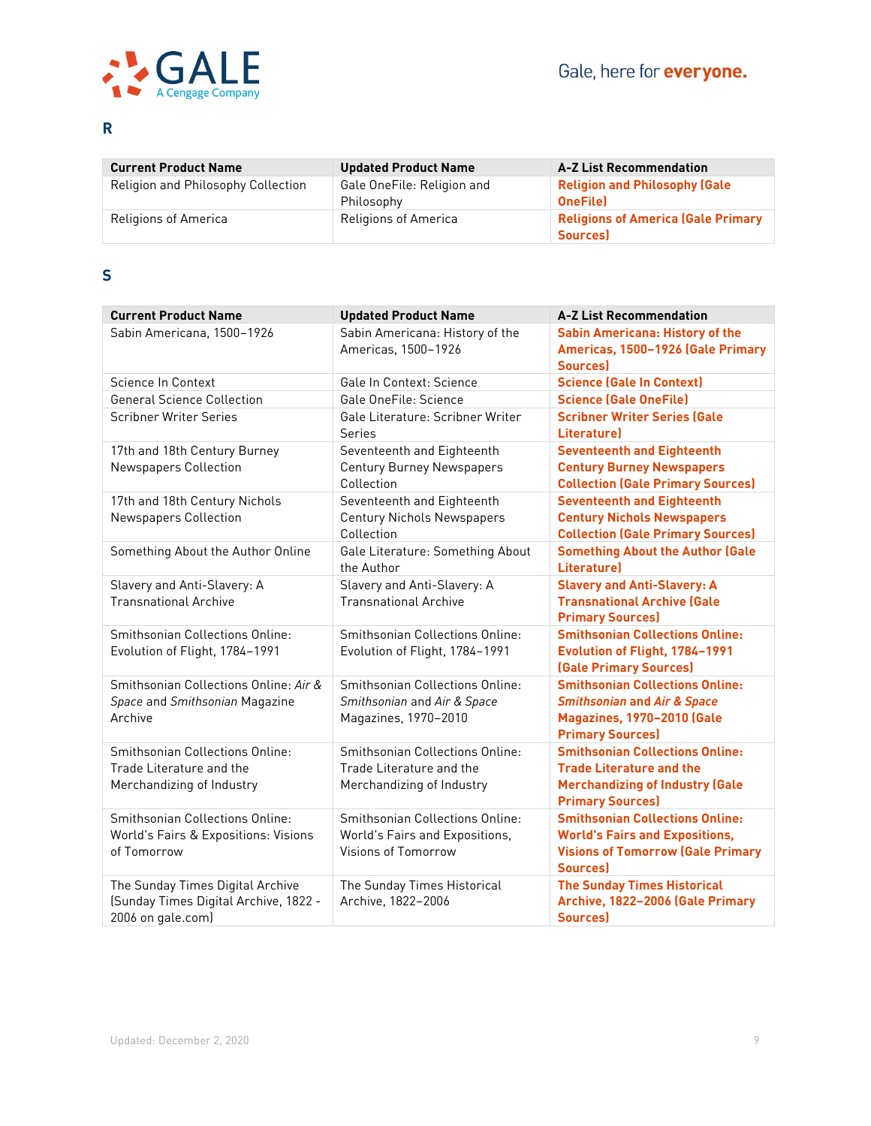

## **R**

| <b>Current Product Name</b>        | <b>Updated Product Name</b>              | <b>A-Z List Recommendation</b>                              |
|------------------------------------|------------------------------------------|-------------------------------------------------------------|
| Religion and Philosophy Collection | Gale OneFile: Religion and<br>Philosophy | <b>Religion and Philosophy (Gale</b><br><b>OneFilel</b>     |
| Religions of America               | <b>Religions of America</b>              | <b>Religions of America (Gale Primary</b><br><b>Sources</b> |

## **S**

| <b>Current Product Name</b>                                                                    | <b>Updated Product Name</b>                                                                     | <b>A-Z List Recommendation</b>                                                                                                                   |
|------------------------------------------------------------------------------------------------|-------------------------------------------------------------------------------------------------|--------------------------------------------------------------------------------------------------------------------------------------------------|
| Sabin Americana, 1500-1926                                                                     | Sabin Americana: History of the<br>Americas, 1500-1926                                          | <b>Sabin Americana: History of the</b><br>Americas, 1500-1926 (Gale Primary<br><b>Sources</b>                                                    |
| Science In Context                                                                             | <b>Gale In Context: Science</b>                                                                 | <b>Science (Gale In Context)</b>                                                                                                                 |
| <b>General Science Collection</b>                                                              | Gale OneFile: Science                                                                           | <b>Science (Gale OneFile)</b>                                                                                                                    |
| <b>Scribner Writer Series</b>                                                                  | Gale Literature: Scribner Writer<br>Series                                                      | <b>Scribner Writer Series (Gale</b><br>Literature)                                                                                               |
| 17th and 18th Century Burney<br><b>Newspapers Collection</b>                                   | Seventeenth and Eighteenth<br><b>Century Burney Newspapers</b><br>Collection                    | <b>Seventeenth and Eighteenth</b><br><b>Century Burney Newspapers</b><br><b>Collection (Gale Primary Sources)</b>                                |
| 17th and 18th Century Nichols<br>Newspapers Collection                                         | Seventeenth and Eighteenth<br><b>Century Nichols Newspapers</b><br>Collection                   | <b>Seventeenth and Eighteenth</b><br><b>Century Nichols Newspapers</b><br><b>Collection (Gale Primary Sources)</b>                               |
| Something About the Author Online                                                              | Gale Literature: Something About<br>the Author                                                  | <b>Something About the Author (Gale</b><br><b>Literaturel</b>                                                                                    |
| Slavery and Anti-Slavery: A<br><b>Transnational Archive</b>                                    | Slavery and Anti-Slavery: A<br><b>Transnational Archive</b>                                     | <b>Slavery and Anti-Slavery: A</b><br><b>Transnational Archive (Gale</b><br><b>Primary Sources)</b>                                              |
| Smithsonian Collections Online:<br>Evolution of Flight, 1784-1991                              | Smithsonian Collections Online:<br>Evolution of Flight, 1784-1991                               | <b>Smithsonian Collections Online:</b><br>Evolution of Flight, 1784-1991<br>(Gale Primary Sources)                                               |
| Smithsonian Collections Online: Air &<br>Space and Smithsonian Magazine<br>Archive             | <b>Smithsonian Collections Online:</b><br>Smithsonian and Air & Space<br>Magazines, 1970-2010   | <b>Smithsonian Collections Online:</b><br><b>Smithsonian and Air &amp; Space</b><br><b>Magazines, 1970-2010 (Gale</b><br><b>Primary Sources)</b> |
| Smithsonian Collections Online:<br>Trade Literature and the<br>Merchandizing of Industry       | Smithsonian Collections Online:<br>Trade Literature and the<br>Merchandizing of Industry        | <b>Smithsonian Collections Online:</b><br><b>Trade Literature and the</b><br><b>Merchandizing of Industry (Gale</b><br><b>Primary Sources)</b>   |
| <b>Smithsonian Collections Online:</b><br>World's Fairs & Expositions: Visions<br>of Tomorrow  | <b>Smithsonian Collections Online:</b><br>World's Fairs and Expositions,<br>Visions of Tomorrow | <b>Smithsonian Collections Online:</b><br><b>World's Fairs and Expositions,</b><br><b>Visions of Tomorrow (Gale Primary</b><br><b>Sources</b>    |
| The Sunday Times Digital Archive<br>(Sunday Times Digital Archive, 1822 -<br>2006 on gale.com) | The Sunday Times Historical<br>Archive, 1822-2006                                               | <b>The Sunday Times Historical</b><br>Archive, 1822-2006 (Gale Primary<br><b>Sources</b>                                                         |